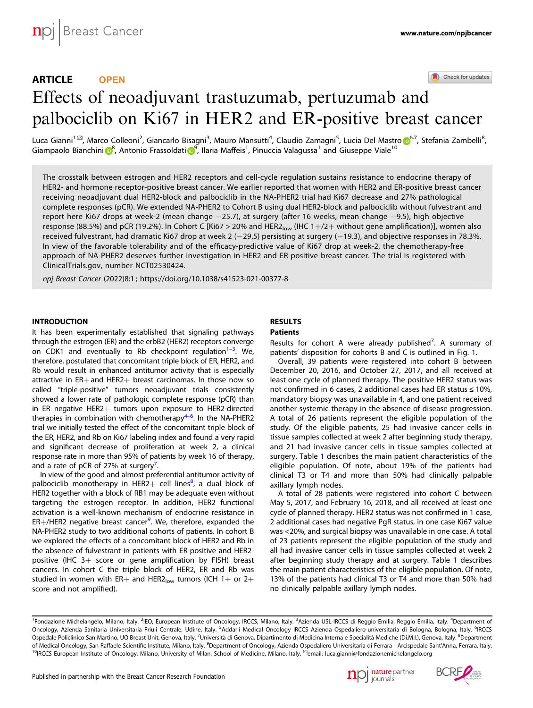ARTICLE **OPEN**

Check for updates

# Effects of neoadjuvant trastuzumab, pertuzumab an[d](http://crossmark.crossref.org/dialog/?doi=10.1038/s41523-021-00377-8&domain=pdf) palbociclib on Ki67 in HER2 and ER-positive breast cancer

Luca Gianni<sup>1⊠</sup>, Marc[o](http://orcid.org/0000-0002-9546-5841) Colleoni<sup>2</sup>, Giancarlo Bisagni<sup>3</sup>, Mauro Mansutti<sup>4</sup>, Claudio Zamagni<sup>5</sup>, Lucia Del Mastro <mark>o[6](http://orcid.org/0000-0002-9546-5841),7, Stefania Zambelli<sup>8</sup>,</mark> G[i](http://orcid.org/0000-0003-3487-3259)ampaolo Bianchini <mark>O</mark><sup>[8](http://orcid.org/0000-0002-6790-6267)</sup>, Antonio Frassoldati O<sup>[9](http://orcid.org/0000-0003-3487-3259)</sup>, Ilaria Maffeis<sup>1</sup>, Pinuccia Valagussa<sup>1</sup> and Giuseppe Viale<sup>10</sup>

The crosstalk between estrogen and HER2 receptors and cell-cycle regulation sustains resistance to endocrine therapy of HER2- and hormone receptor-positive breast cancer. We earlier reported that women with HER2 and ER-positive breast cancer receiving neoadjuvant dual HER2-block and palbociclib in the NA-PHER2 trial had Ki67 decrease and 27% pathological complete responses (pCR). We extended NA-PHER2 to Cohort B using dual HER2-block and palbociclib without fulvestrant and report here Ki67 drops at week-2 (mean change −25.7), at surgery (after 16 weeks, mean change −9.5), high objective response (88.5%) and pCR (19.2%). In Cohort C [Ki67 > 20% and HER2<sub>low</sub> (IHC 1+/2+ without gene amplification)], women also received fulvestrant, had dramatic Ki67 drop at week 2 (−29.5) persisting at surgery (−19.3), and objective responses in 78.3%. In view of the favorable tolerability and of the efficacy-predictive value of Ki67 drop at week-2, the chemotherapy-free approach of NA-PHER2 deserves further investigation in HER2 and ER-positive breast cancer. The trial is registered with ClinicalTrials.gov, number NCT02530424.

npj Breast Cancer (2022) 8:1 ; https://doi.org/10[.1038/s41523-021-00377-8](https://doi.org/10.1038/s41523-021-00377-8)

#### **INTRODUCTION**

It has been experimentally established that signaling pathways through the estrogen (ER) and the erbB2 (HER2) receptors converge on CDK1 and eventually to Rb checkpoint regulation<sup>1-[3](#page-5-0)</sup>. We, therefore, postulated that concomitant triple block of ER, HER2, and Rb would result in enhanced antitumor activity that is especially attractive in ER+ and HER2+ breast carcinomas. In those now so called "triple-positive" tumors neoadjuvant trials consistently showed a lower rate of pathologic complete response (pCR) than in ER negative HER2+ tumors upon exposure to HER2-directed therapies in combination with chemotherapy<sup>4-[6](#page-5-0)</sup>. In the NA-PHER2 trial we initially tested the effect of the concomitant triple block of the ER, HER2, and Rb on Ki67 labeling index and found a very rapid and significant decrease of proliferation at week 2, a clinical response rate in more than 95% of patients by week 16 of therapy, and a rate of pCR of 27% at surgery<sup>7</sup>. .

In view of the good and almost preferential antitumor activity of palbociclib monotherapy in HER2+ cell lines<sup>[8](#page-5-0)</sup>, a dual block of HER2 together with a block of RB1 may be adequate even without targeting the estrogen receptor. In addition, HER2 functional activation is a well-known mechanism of endocrine resistance in ER+/HER2 negative breast cancer<sup>9</sup>. We, therefore, expanded the NA-PHER2 study to two additional cohorts of patients. In cohort B we explored the effects of a concomitant block of HER2 and Rb in the absence of fulvestrant in patients with ER-positive and HER2 positive (IHC 3+ score or gene amplification by FISH) breast cancers. In cohort C the triple block of HER2, ER and Rb was studied in women with ER+ and HER2<sub>low</sub> tumors (ICH 1+ or 2+ score and not amplified).

## RESULTS

#### Patients

Results for cohort A were already published<sup>[7](#page-5-0)</sup>. A summary of patients' disposition for cohorts B and C is outlined in Fig. [1.](#page-1-0)

Overall, 39 patients were registered into cohort B between December 20, 2016, and October 27, 2017, and all received at least one cycle of planned therapy. The positive HER2 status was not confirmed in 6 cases, 2 additional cases had ER status ≤ 10%, mandatory biopsy was unavailable in 4, and one patient received another systemic therapy in the absence of disease progression. A total of 26 patients represent the eligible population of the study. Of the eligible patients, 25 had invasive cancer cells in tissue samples collected at week 2 after beginning study therapy, and 21 had invasive cancer cells in tissue samples collected at surgery. Table [1](#page-1-0) describes the main patient characteristics of the eligible population. Of note, about 19% of the patients had clinical T3 or T4 and more than 50% had clinically palpable axillary lymph nodes.

A total of 28 patients were registered into cohort C between May 5, 2017, and February 16, 2018, and all received at least one cycle of planned therapy. HER2 status was not confirmed in 1 case, 2 additional cases had negative PgR status, in one case Ki67 value was <20%, and surgical biopsy was unavailable in one case. A total of 23 patients represent the eligible population of the study and all had invasive cancer cells in tissue samples collected at week 2 after beginning study therapy and at surgery. Table [1](#page-1-0) describes the main patient characteristics of the eligible population. Of note, 13% of the patients had clinical T3 or T4 and more than 50% had no clinically palpable axillary lymph nodes.





<sup>&</sup>lt;sup>1</sup>Fondazione Michelangelo, Milano, Italy. <sup>2</sup>IEO, European Institute of Oncology, IRCCS, Milano, Italy. <sup>3</sup>Azienda USL-IRCCS di Reggio Emilia, Reggio Emilia, Italy. <sup>4</sup>Department of Oncology, Azienda Sanitaria Universitaria Friuli Centrale, Udine, Italy. <sup>5</sup>Addarii Medical Oncology IRCCS Azienda Ospedaliero-universitaria di Bologna, Bologna, Italy. <sup>6</sup>IRCCS Ospedale Policlinico San Martino, UO Breast Unit, Genova, Italy. <sup>7</sup>Università di Genova, Dipartimento di Medicina Interna e Specialità Mediche (Di.M.I.), Genova, Italy. <sup>8</sup>Department of Medical Oncology, San Raffaele Scientific Institute, Milano, Italy. <sup>9</sup>Department of Oncology, Azienda Ospedaliero Universitaria di Ferrara - Arcispedale Sant'Anna, Ferrara, Italy. <sup>10</sup>IRCCS European Institute of Oncology, Milano, University of Milan, School of Medicine, Milano, Italy. <sup>⊠</sup>email: [luca.gianni@fondazionemichelangelo.org](mailto:luca.gianni@fondazionemichelangelo.org)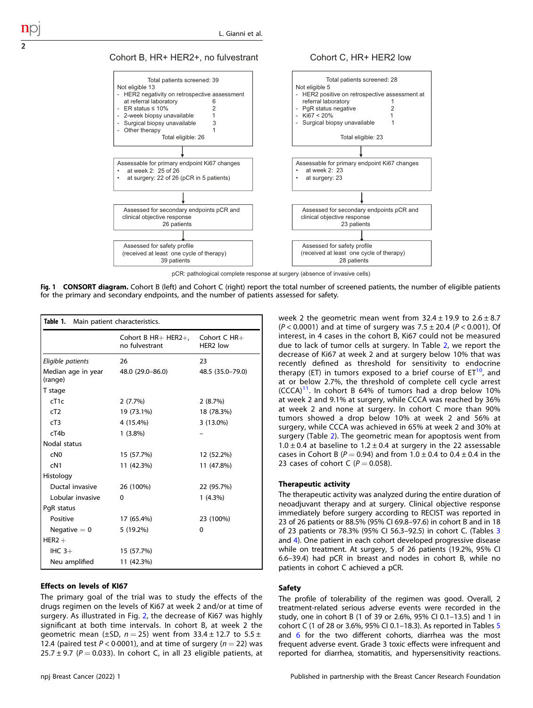

<span id="page-1-0"></span>2

Cohort C, HR+ HER2 low



pCR: pathological complete response at surgery (absence of invasive cells)

Fig. 1 CONSORT diagram. Cohort B (left) and Cohort C (right) report the total number of screened patients, the number of eligible patients for the primary and secondary endpoints, and the number of patients assessed for safety.

| Table 1. Main patient characteristics. |                                         |                                      |
|----------------------------------------|-----------------------------------------|--------------------------------------|
|                                        | Cohort B $HR+$ HER2+,<br>no fulvestrant | Cohort C HR+<br>HFR <sub>2</sub> low |
| Eligible patients                      | 26                                      | 23                                   |
| Median age in year<br>(range)          | 48.0 (29.0-86.0)                        | 48.5 (35.0-79.0)                     |
| T stage                                |                                         |                                      |
| cT1c                                   | $2(7.7\%)$                              | 2(8.7%)                              |
| cT2                                    | 19 (73.1%)                              | 18 (78.3%)                           |
| cT3                                    | 4 (15.4%)                               | $3(13.0\%)$                          |
| cT4b                                   | $1(3.8\%)$                              |                                      |
| Nodal status                           |                                         |                                      |
| cN0                                    | 15 (57.7%)                              | 12 (52.2%)                           |
| cN1                                    | 11 (42.3%)                              | 11 (47.8%)                           |
| Histology                              |                                         |                                      |
| Ductal invasive                        | 26 (100%)                               | 22 (95.7%)                           |
| Lobular invasive                       | 0                                       | $1(4.3\%)$                           |
| PqR status                             |                                         |                                      |
| Positive                               | 17 (65.4%)                              | 23 (100%)                            |
| Negative $= 0$                         | 5 (19.2%)                               | 0                                    |
| $HER2 +$                               |                                         |                                      |
| IHC $3+$                               | 15 (57.7%)                              |                                      |
| Neu amplified                          | 11 (42.3%)                              |                                      |

#### Effects on levels of KI67

The primary goal of the trial was to study the effects of the drugs regimen on the levels of Ki67 at week 2 and/or at time of surgery. As illustrated in Fig. [2](#page-2-0), the decrease of Ki67 was highly significant at both time intervals. In cohort B, at week 2 the geometric mean ( $\pm$ SD, n = 25) went from 33.4  $\pm$  12.7 to 5.5  $\pm$ 12.4 (paired test  $P < 0.0001$ ), and at time of surgery ( $n = 22$ ) was  $25.7 \pm 9.7$  (P = 0.033). In cohort C, in all 23 eligible patients, at week 2 the geometric mean went from  $32.4 \pm 19.9$  to  $2.6 \pm 8.7$  $(P < 0.0001)$  and at time of surgery was 7.5 ± 20.4 ( $P < 0.001$ ). Of interest, in 4 cases in the cohort B, Ki67 could not be measured due to lack of tumor cells at surgery. In Table [2](#page-2-0), we report the decrease of Ki67 at week 2 and at surgery below 10% that was recently defined as threshold for sensitivity to endocrine therapy (ET) in tumors exposed to a brief course of  $ET^{10}$  $ET^{10}$  $ET^{10}$ , and at or below 2.7%, the threshold of complete cell cycle arrest (CCCA)[11](#page-5-0). In cohort B 64% of tumors had a drop below 10% at week 2 and 9.1% at surgery, while CCCA was reached by 36% at week 2 and none at surgery. In cohort C more than 90% tumors showed a drop below 10% at week 2 and 56% at surgery, while CCCA was achieved in 65% at week 2 and 30% at surgery (Table [2](#page-2-0)). The geometric mean for apoptosis went from  $1.0 \pm 0.4$  at baseline to  $1.2 \pm 0.4$  at surgery in the 22 assessable cases in Cohort B ( $P = 0.94$ ) and from 1.0  $\pm$  0.4 to 0.4  $\pm$  0.4 in the 23 cases of cohort C ( $P = 0.058$ ).

#### Therapeutic activity

The therapeutic activity was analyzed during the entire duration of neoadjuvant therapy and at surgery. Clinical objective response immediately before surgery according to RECIST was reported in 23 of 26 patients or 88.5% (95% CI 69.8–97.6) in cohort B and in 18 of 23 patients or 78.3% (95% CI 56.3–92.5) in cohort C. (Tables [3](#page-2-0) and [4\)](#page-3-0). One patient in each cohort developed progressive disease while on treatment. At surgery, 5 of 26 patients (19.2%, 95% CI 6.6–39.4) had pCR in breast and nodes in cohort B, while no patients in cohort C achieved a pCR.

#### Safety

The profile of tolerability of the regimen was good. Overall, 2 treatment-related serious adverse events were recorded in the study, one in cohort B (1 of 39 or 2.6%, 95% CI 0.1–13.5) and 1 in cohort C (1 of 28 or 3.6%, 95% CI 0.1–18.3). As reported in Tables [5](#page-3-0) and [6](#page-3-0) for the two different cohorts, diarrhea was the most frequent adverse event. Grade 3 toxic effects were infrequent and reported for diarrhea, stomatitis, and hypersensitivity reactions.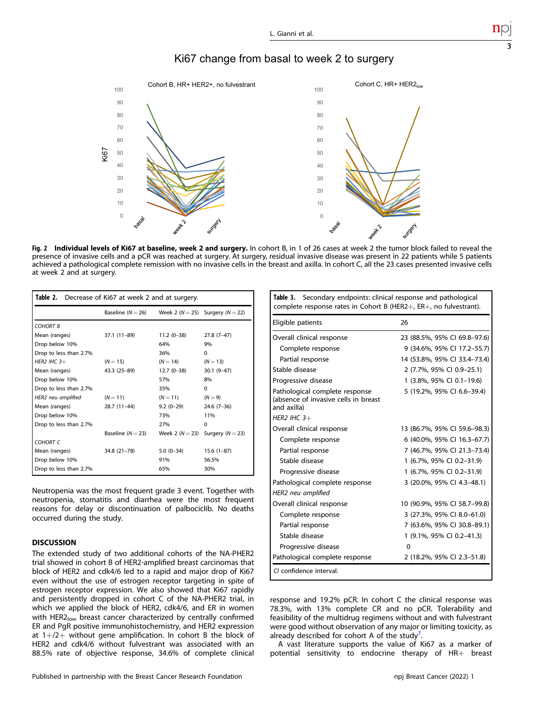# Ki67 change from basal to week 2 to surgery

<span id="page-2-0"></span>

Fig. 2 Individual levels of Ki67 at baseline, week 2 and surgery. In cohort B, in 1 of 26 cases at week 2 the tumor block failed to reveal the presence of invasive cells and a pCR was reached at surgery. At surgery, residual invasive disease was present in 22 patients while 5 patients achieved a pathological complete remission with no invasive cells in the breast and axilla. In cohort C, all the 23 cases presented invasive cells at week 2 and at surgery.

| Table 2. Decrease of Ki67 at week 2 and at surgery. |                       |                     |                                          |
|-----------------------------------------------------|-----------------------|---------------------|------------------------------------------|
|                                                     | Baseline ( $N = 26$ ) |                     | Week 2 ( $N = 25$ ) Surgery ( $N = 22$ ) |
| <b>COHORT B</b>                                     |                       |                     |                                          |
| Mean (ranges)                                       | 37.1 (11-89)          | $11.2(0-38)$        | $27.8(7-47)$                             |
| Drop below 10%                                      |                       | 64%                 | 9%                                       |
| Drop to less than 2.7%                              |                       | 36%                 | $\Omega$                                 |
| HER2 IHC $3+$                                       | $(N = 15)$            | $(N = 14)$          | $(N = 13)$                               |
| Mean (ranges)                                       | 43.3 (25-89)          | $12.7(0-38)$        | $30.1(9 - 47)$                           |
| Drop below 10%                                      |                       | 57%                 | 8%                                       |
| Drop to less than 2.7%                              |                       | 35%                 | $\Omega$                                 |
| HER2 neu amplified                                  | $(N = 11)$            | $(N = 11)$          | $(N=9)$                                  |
| Mean (ranges)                                       | 28.7 (11-44)          | $9.2(0-29)$         | $24.6(7-36)$                             |
| Drop below 10%                                      |                       | 73%                 | 11%                                      |
| Drop to less than 2.7%                              |                       | 27%                 | $\Omega$                                 |
|                                                     | Baseline ( $N = 23$ ) | Week 2 ( $N = 23$ ) | Surgery $(N = 23)$                       |
| COHORT <sub>C</sub>                                 |                       |                     |                                          |
| Mean (ranges)                                       | 34.8 (21-78)          | $5.0(0-34)$         | $15.6(1-87)$                             |
| Drop below 10%                                      |                       | 91%                 | 56.5%                                    |
| Drop to less than 2.7%                              |                       | 65%                 | 30%                                      |

Neutropenia was the most frequent grade 3 event. Together with neutropenia, stomatitis and diarrhea were the most frequent reasons for delay or discontinuation of palbociclib. No deaths occurred during the study.

### **DISCUSSION**

The extended study of two additional cohorts of the NA-PHER2 trial showed in cohort B of HER2-amplified breast carcinomas that block of HER2 and cdk4/6 led to a rapid and major drop of Ki67 even without the use of estrogen receptor targeting in spite of estrogen receptor expression. We also showed that Ki67 rapidly and persistently dropped in cohort C of the NA-PHER2 trial, in which we applied the block of HER2, cdk4/6, and ER in women with HER2<sub>low</sub> breast cancer characterized by centrally confirmed ER and PgR positive immunohistochemistry, and HER2 expression at 1+/2+ without gene amplification. In cohort B the block of HER2 and cdk4/6 without fulvestrant was associated with an 88.5% rate of objective response, 34.6% of complete clinical

| <b>Table 3.</b> Secondary endpoints: clinical response and pathological<br>complete response rates in Cohort B (HER2 $+$ , ER $+$ , no fulvestrant). |                              |  |
|------------------------------------------------------------------------------------------------------------------------------------------------------|------------------------------|--|
| Eligible patients                                                                                                                                    | 26                           |  |
| Overall clinical response                                                                                                                            | 23 (88.5%, 95% CI 69.8-97.6) |  |
| Complete response                                                                                                                                    | 9 (34.6%, 95% Cl 17.2-55.7)  |  |
| Partial response                                                                                                                                     | 14 (53.8%, 95% CI 33.4-73.4) |  |
| Stable disease                                                                                                                                       | 2 (7.7%, 95% CI 0.9-25.1)    |  |
| Progressive disease                                                                                                                                  | 1 (3.8%, 95% CI 0.1-19.6)    |  |
| Pathological complete response<br>(absence of invasive cells in breast<br>and axilla)                                                                | 5 (19.2%, 95% CI 6.6-39.4)   |  |
| HER2 IHC $3+$                                                                                                                                        |                              |  |
| Overall clinical response                                                                                                                            | 13 (86.7%, 95% CI 59.6-98.3) |  |
| Complete response                                                                                                                                    | 6 (40.0%, 95% CI 16.3-67.7)  |  |
| Partial response                                                                                                                                     | 7 (46.7%, 95% CI 21.3-73.4)  |  |
| Stable disease                                                                                                                                       | 1 (6.7%, 95% CI 0.2-31.9)    |  |
| Progressive disease                                                                                                                                  | 1 (6.7%, 95% CI 0.2-31.9)    |  |
| Pathological complete response                                                                                                                       | 3 (20.0%, 95% CI 4.3-48.1)   |  |
| HER2 neu amplified                                                                                                                                   |                              |  |
| Overall clinical response                                                                                                                            | 10 (90.9%, 95% CI 58.7-99.8) |  |
| Complete response                                                                                                                                    | 3 (27.3%, 95% CI 8.0-61.0)   |  |
| Partial response                                                                                                                                     | 7 (63.6%, 95% CI 30.8-89.1)  |  |
| Stable disease                                                                                                                                       | 1 (9.1%, 95% CI 0.2-41.3)    |  |
| Progressive disease                                                                                                                                  | $\Omega$                     |  |
| Pathological complete response                                                                                                                       | 2 (18.2%, 95% CI 2.3-51.8)   |  |
| CI confidence interval.                                                                                                                              |                              |  |

response and 19.2% pCR. In cohort C the clinical response was 78.3%, with 13% complete CR and no pCR. Tolerability and feasibility of the multidrug regimens without and with fulvestrant were good without observation of any major or limiting toxicity, as already described for cohort A of the study<sup>[7](#page-5-0)</sup>. .

A vast literature supports the value of Ki67 as a marker of potential sensitivity to endocrine therapy of HR+ breast 3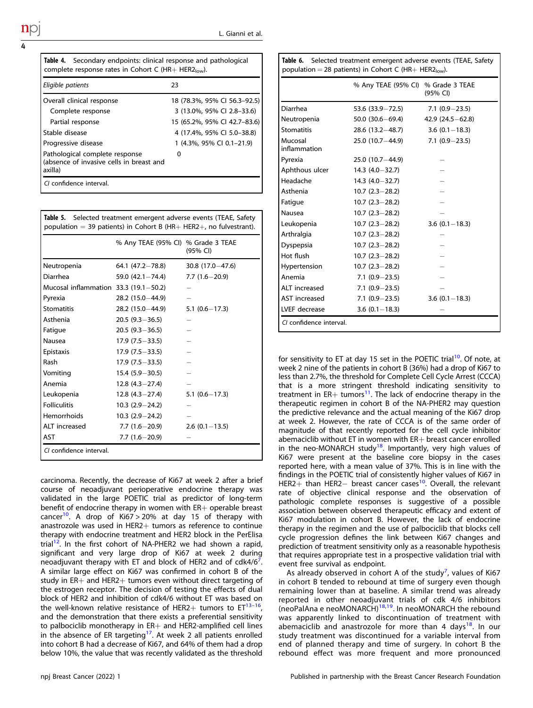<span id="page-3-0"></span>

| <b>Table 4.</b> Secondary endpoints: clinical response and pathological<br>complete response rates in Cohort C (HR+ HER2 $_{low}$ ). |                              |  |
|--------------------------------------------------------------------------------------------------------------------------------------|------------------------------|--|
| Eligible patients                                                                                                                    | 23                           |  |
| Overall clinical response                                                                                                            | 18 (78.3%, 95% CI 56.3–92.5) |  |
| Complete response                                                                                                                    | 3 (13.0%, 95% CI 2.8–33.6)   |  |
| Partial response                                                                                                                     | 15 (65.2%, 95% CI 42.7–83.6) |  |
| Stable disease                                                                                                                       | 4 (17.4%, 95% CI 5.0-38.8)   |  |
| Progressive disease                                                                                                                  | 1 (4.3%, 95% CI 0.1-21.9)    |  |
| Pathological complete response<br>(absence of invasive cells in breast and<br>axilla)                                                | 0                            |  |
| CI confidence interval.                                                                                                              |                              |  |

Table 5. Selected treatment emergent adverse events (TEAE, Safety population = 39 patients) in Cohort B (HR+ HER2+, no fulvestrant).

|                                       | % Any TEAE (95% CI) % Grade 3 TEAE | (95% CI)            |
|---------------------------------------|------------------------------------|---------------------|
| Neutropenia                           | 64.1 $(47.2 - 78.8)$               | $30.8(17.0 - 47.6)$ |
| Diarrhea                              | 59.0 $(42.1 - 74.4)$               | $7.7(1.6-20.9)$     |
| Mucosal inflammation 33.3 (19.1-50.2) |                                    |                     |
| Pyrexia                               | $28.2(15.0 - 44.9)$                |                     |
| <b>Stomatitis</b>                     | 28.2 (15.0-44.9)                   | $5.1(0.6 - 17.3)$   |
| Asthenia                              | $20.5(9.3 - 36.5)$                 |                     |
| Fatigue                               | $20.5(9.3-36.5)$                   |                     |
| Nausea                                | $17.9(7.5 - 33.5)$                 |                     |
| Epistaxis                             | $17.9(7.5-33.5)$                   |                     |
| Rash                                  | $17.9(7.5-33.5)$                   |                     |
| Vomiting                              | $15.4(5.9 - 30.5)$                 |                     |
| Anemia                                | $12.8(4.3-27.4)$                   |                     |
| Leukopenia                            | $12.8(4.3-27.4)$                   | $5.1(0.6 - 17.3)$   |
| <b>Folliculitis</b>                   | $10.3(2.9 - 24.2)$                 |                     |
| <b>Hemorrhoids</b>                    | $10.3 (2.9 - 24.2)$                |                     |
| ALT increased                         | $7.7(1.6-20.9)$                    | $2.6(0.1-13.5)$     |
| <b>AST</b>                            | $7.7(1.6-20.9)$                    |                     |
| CI confidence interval.               |                                    |                     |

carcinoma. Recently, the decrease of Ki67 at week 2 after a brief course of neoadjuvant perioperative endocrine therapy was validated in the large POETIC trial as predictor of long-term benefit of endocrine therapy in women with ER+ operable breast cancer<sup>10</sup>. A drop of Ki67 > 20% at day 15 of therapy with anastrozole was used in HER2+ tumors as reference to continue therapy with endocrine treatment and HER2 block in the PerElisa trial<sup>[12](#page-5-0)</sup>. In the first cohort of NA-PHER2 we had shown a rapid, significant and very large drop of Ki67 at week 2 during neoadjuvant therapy with ET and block of HER2 and of cdk4/6<sup>[7](#page-5-0)</sup>. . A similar large effect on Ki67 was confirmed in cohort B of the study in ER+ and HER2+ tumors even without direct targeting of the estrogen receptor. The decision of testing the effects of dual block of HER2 and inhibition of cdk4/6 without ET was based on the well-known relative resistance of HER2+ tumors to  $ET^{13-16}$  $ET^{13-16}$  $ET^{13-16}$ , and the demonstration that there exists a preferential sensitivity to palbociclib monotherapy in  $ER+$  and HER2-amplified cell lines in the absence of ER targeting<sup>17</sup>. At week 2 all patients enrolled into cohort B had a decrease of Ki67, and 64% of them had a drop below 10%, the value that was recently validated as the threshold

| population = 28 patients) in Cohort C (HR+ HER2 $_{low}$ ). |                                    |                      |
|-------------------------------------------------------------|------------------------------------|----------------------|
|                                                             | % Any TEAE (95% CI) % Grade 3 TEAE | (95% CI)             |
| Diarrhea                                                    | $53.6$ (33.9-72.5)                 | $7.1(0.9 - 23.5)$    |
| Neutropenia                                                 | $50.0(30.6 - 69.4)$                | 42.9 $(24.5 - 62.8)$ |
| <b>Stomatitis</b>                                           | $28.6(13.2 - 48.7)$                | $3.6(0.1 - 18.3)$    |
| Mucosal<br>inflammation                                     | $25.0(10.7 - 44.9)$                | $7.1(0.9 - 23.5)$    |
| Pyrexia                                                     | $25.0(10.7 - 44.9)$                |                      |
| Aphthous ulcer                                              | $14.3(4.0 - 32.7)$                 |                      |
| Headache                                                    | $14.3(4.0 - 32.7)$                 |                      |
| Asthenia                                                    | $10.7(2.3-28.2)$                   |                      |
| Fatigue                                                     | $10.7(2.3-28.2)$                   |                      |
| Nausea                                                      | $10.7(2.3-28.2)$                   |                      |
| Leukopenia                                                  | $10.7(2.3-28.2)$                   | $3.6(0.1 - 18.3)$    |
| Arthralgia                                                  | $10.7(2.3-28.2)$                   |                      |
| Dyspepsia                                                   | $10.7(2.3-28.2)$                   |                      |
| Hot flush                                                   | $10.7(2.3-28.2)$                   |                      |
| Hypertension                                                | $10.7(2.3-28.2)$                   |                      |
| Anemia                                                      | $7.1(0.9-23.5)$                    |                      |
| ALT increased                                               | $7.1(0.9-23.5)$                    |                      |
| AST increased                                               | $7.1(0.9-23.5)$                    | $3.6(0.1 - 18.3)$    |
| LVEF decrease                                               | $3.6(0.1 - 18.3)$                  |                      |
| CL confidence interval.                                     |                                    |                      |

Table 6. Selected treatment emergent adverse events (TEAE, Safety

for sensitivity to ET at day 15 set in the POETIC trial<sup>[10](#page-5-0)</sup>. Of note, at week 2 nine of the patients in cohort B (36%) had a drop of Ki67 to less than 2.7%, the threshold for Complete Cell Cycle Arrest (CCCA) that is a more stringent threshold indicating sensitivity to treatment in  $ER+$  tumors<sup>[11](#page-5-0)</sup>. The lack of endocrine therapy in the therapeutic regimen in cohort B of the NA-PHER2 may question the predictive relevance and the actual meaning of the Ki67 drop at week 2. However, the rate of CCCA is of the same order of magnitude of that recently reported for the cell cycle inhibitor abemaciclib without ET in women with ER+ breast cancer enrolled in the neo-MONARCH study<sup>18</sup>. Importantly, very high values of Ki67 were present at the baseline core biopsy in the cases reported here, with a mean value of 37%. This is in line with the findings in the POETIC trial of consistently higher values of Ki67 in HER2+ than HER2− breast cancer cases<sup>[10](#page-5-0)</sup>. Overall, the relevant rate of objective clinical response and the observation of pathologic complete responses is suggestive of a possible association between observed therapeutic efficacy and extent of Ki67 modulation in cohort B. However, the lack of endocrine therapy in the regimen and the use of palbociclib that blocks cell cycle progression defines the link between Ki67 changes and prediction of treatment sensitivity only as a reasonable hypothesis that requires appropriate test in a prospective validation trial with event free survival as endpoint.

As already observed in cohort A of the study<sup>[7](#page-5-0)</sup>, values of Ki67 in cohort B tended to rebound at time of surgery even though remaining lower than at baseline. A similar trend was already reported in other neoadjuvant trials of cdk 4/6 inhibitors (neoPalAna e neoMONARCH)[18,19](#page-6-0). In neoMONARCH the rebound was apparently linked to discontinuation of treatment with abemaciclib and anastrozole for more than 4 days<sup>18</sup>. In our study treatment was discontinued for a variable interval from end of planned therapy and time of surgery. In cohort B the rebound effect was more frequent and more pronounced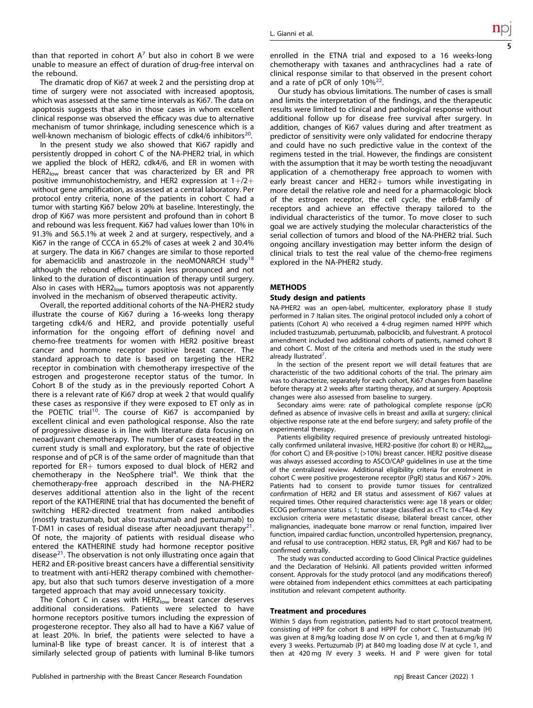than that reported in cohort  $A^7$  $A^7$  but also in cohort B we were unable to measure an effect of duration of drug-free interval on the rebound.

The dramatic drop of Ki67 at week 2 and the persisting drop at time of surgery were not associated with increased apoptosis, which was assessed at the same time intervals as Ki67. The data on apoptosis suggests that also in those cases in whom excellent clinical response was observed the efficacy was due to alternative mechanism of tumor shrinkage, including senescence which is a well-known mechanism of biologic effects of cdk4/6 inhibitors $^{20}$  $^{20}$  $^{20}$ .

In the present study we also showed that Ki67 rapidly and persistently dropped in cohort C of the NA-PHER2 trial, in which we applied the block of HER2, cdk4/6, and ER in women with HER2<sub>low</sub> breast cancer that was characterized by ER and PR positive immunohistochemistry, and HER2 expression at  $1+/2+$ without gene amplification, as assessed at a central laboratory. Per protocol entry criteria, none of the patients in cohort C had a tumor with starting Ki67 below 20% at baseline. Interestingly, the drop of Ki67 was more persistent and profound than in cohort B and rebound was less frequent. Ki67 had values lower than 10% in 91.3% and 56.5.1% at week 2 and at surgery, respectively, and a Ki67 in the range of CCCA in 65.2% of cases at week 2 and 30.4% at surgery. The data in Ki67 changes are similar to those reported for abemaciclib and anastrozole in the neoMONARCH study<sup>[18](#page-6-0)</sup> although the rebound effect is again less pronounced and not linked to the duration of discontinuation of therapy until surgery. Also in cases with  $HER2<sub>low</sub>$  tumors apoptosis was not apparently involved in the mechanism of observed therapeutic activity.

Overall, the reported additional cohorts of the NA-PHER2 study illustrate the course of Ki67 during a 16-weeks long therapy targeting cdk4/6 and HER2, and provide potentially useful information for the ongoing effort of defining novel and chemo-free treatments for women with HER2 positive breast cancer and hormone receptor positive breast cancer. The standard approach to date is based on targeting the HER2 receptor in combination with chemotherapy irrespective of the estrogen and progesterone receptor status of the tumor. In Cohort B of the study as in the previously reported Cohort A there is a relevant rate of Ki67 drop at week 2 that would qualify these cases as responsive if they were exposed to ET only as in the POETIC trial<sup>10</sup>. The course of Ki67 is accompanied by excellent clinical and even pathological response. Also the rate of progressive disease is in line with literature data focusing on neoadjuvant chemotherapy. The number of cases treated in the current study is small and exploratory, but the rate of objective response and of pCR is of the same order of magnitude than that reported for ER+ tumors exposed to dual block of HER2 and chemotherapy in the NeoSphere trial<sup>[4](#page-5-0)</sup>. We think that the chemotherapy-free approach described in the NA-PHER2 deserves additional attention also in the light of the recent report of the KATHERINE trial that has documented the benefit of switching HER2-directed treatment from naked antibodies (mostly trastuzumab, but also trastuzumab and pertuzumab) to T-DM1 in cases of residual disease after neoadjuvant therapy $2^1$ . Of note, the majority of patients with residual disease who entered the KATHERINE study had hormone receptor positive disease $^{21}$ . The observation is not only illustrating once again that HER2 and ER-positive breast cancers have a differential sensitivity to treatment with anti-HER2 therapy combined with chemotherapy, but also that such tumors deserve investigation of a more targeted approach that may avoid unnecessary toxicity.

The Cohort C in cases with  $HER2_{\text{low}}$  breast cancer deserves additional considerations. Patients were selected to have hormone receptors positive tumors including the expression of progesterone receptor. They also all had to have a Ki67 value of at least 20%. In brief, the patients were selected to have a luminal-B like type of breast cancer. It is of interest that a similarly selected group of patients with luminal B-like tumors enrolled in the ETNA trial and exposed to a 16 weeks-long chemotherapy with taxanes and anthracyclines had a rate of clinical response similar to that observed in the present cohort and a rate of pCR of only  $10\%^{22}$  $10\%^{22}$  $10\%^{22}$ .

Our study has obvious limitations. The number of cases is small and limits the interpretation of the findings, and the therapeutic results were limited to clinical and pathological response without additional follow up for disease free survival after surgery. In addition, changes of Ki67 values during and after treatment as predictor of sensitivity were only validated for endocrine therapy and could have no such predictive value in the context of the regimens tested in the trial. However, the findings are consistent with the assumption that it may be worth testing the neoadjuvant application of a chemotherapy free approach to women with early breast cancer and HER2+ tumors while investigating in more detail the relative role and need for a pharmacologic block of the estrogen receptor, the cell cycle, the erbB-family of receptors and achieve an effective therapy tailored to the individual characteristics of the tumor. To move closer to such goal we are actively studying the molecular characteristics of the serial collection of tumors and blood of the NA-PHER2 trial. Such ongoing ancillary investigation may better inform the design of clinical trials to test the real value of the chemo-free regimens explored in the NA-PHER2 study.

#### **METHODS**

#### Study design and patients

NA-PHER2 was an open-label, multicenter, exploratory phase II study performed in 7 Italian sites. The original protocol included only a cohort of patients (Cohort A) who received a 4-drug regimen named HPPF which included trastuzumab, pertuzumab, palbociclib, and fulvestrant. A protocol amendment included two additional cohorts of patients, named cohort B and cohort C. Most of the criteria and methods used in the study were already llustrated<sup>[7](#page-5-0)</sup>. .

In the section of the present report we will detail features that are characteristic of the two additional cohorts of the trial. The primary aim was to characterize, separately for each cohort, Ki67 changes from baseline before therapy at 2 weeks after starting therapy, and at surgery. Apoptosis changes were also assessed from baseline to surgery.

Secondary aims were: rate of pathological complete response (pCR) defined as absence of invasive cells in breast and axilla at surgery; clinical objective response rate at the end before surgery; and safety profile of the experimental therapy.

Patients eligibility required presence of previously untreated histologically confirmed unilateral invasive, HER2-positive (for cohort B) or HER2<sub>low</sub> (for cohort C) and ER-positive (>10%) breast cancer. HER2 positive disease was always assessed according to ASCO/CAP guidelines in use at the time of the centralized review. Additional eligibility criteria for enrolment in cohort C were positive progesterone receptor (PgR) status and Ki67 > 20%. Patients had to consent to provide tumor tissues for centralized confirmation of HER2 and ER status and assessment of Ki67 values at required times. Other required characteristics were: age 18 years or older; ECOG performance status  $\leq 1$ ; tumor stage classified as cT1c to cT4a-d. Key exclusion criteria were metastatic disease, bilateral breast cancer, other malignancies, inadequate bone marrow or renal function, impaired liver function, impaired cardiac function, uncontrolled hypertension, pregnancy, and refusal to use contraception. HER2 status, ER, PgR and Ki67 had to be confirmed centrally.

The study was conducted according to Good Clinical Practice guidelines and the Declaration of Helsinki. All patients provided written informed consent. Approvals for the study protocol (and any modifications thereof) were obtained from independent ethics committees at each participating institution and relevant competent authority.

#### Treatment and procedures

Within 5 days from registration, patients had to start protocol treatment, consisting of HPP for cohort B and HPPF for cohort C. Trastuzumab (H) was given at 8 mg/kg loading dose IV on cycle 1, and then at 6 mg/kg IV every 3 weeks. Pertuzumab (P) at 840 mg loading dose IV at cycle 1, and then at 420 mg IV every 3 weeks. H and P were given for total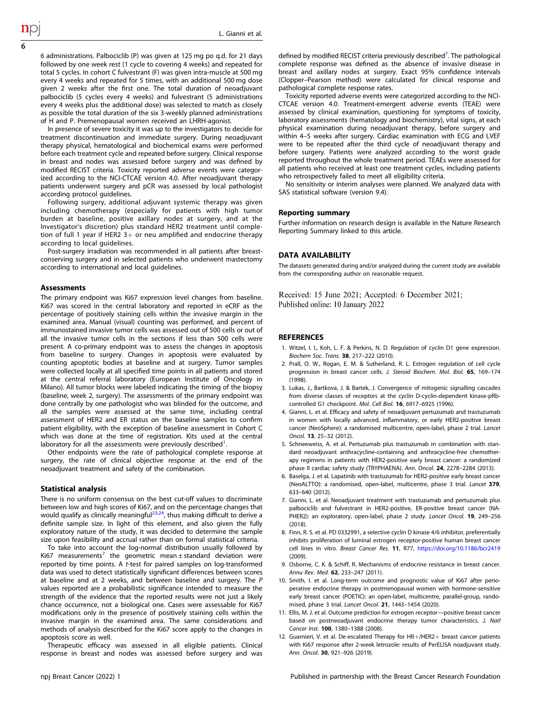6 administrations. Palbociclib (P) was given at 125 mg po q.d. for 21 days followed by one week rest (1 cycle to covering 4 weeks) and repeated for total 5 cycles. In cohort C fulvestrant (F) was given intra-muscle at 500 mg every 4 weeks and repeated for 5 times, with an additional 500 mg dose given 2 weeks after the first one. The total duration of neoadjuvant palbociclib (5 cycles every 4 weeks) and fulvestrant (5 administrations every 4 weeks plus the additional dose) was selected to match as closely as possible the total duration of the six 3-weekly planned administrations of H and P. Premenopausal women received an LHRH-agonist.

In presence of severe toxicity it was up to the investigators to decide for treatment discontinuation and immediate surgery. During neoadjuvant therapy physical, hematological and biochemical exams were performed before each treatment cycle and repeated before surgery. Clinical response in breast and nodes was assessed before surgery and was defined by modified RECIST criteria. Toxicity reported adverse events were categorized according to the NCI-CTCAE version 4.0. After neoadjuvant therapy patients underwent surgery and pCR was assessed by local pathologist according protocol guidelines.

Following surgery, additional adjuvant systemic therapy was given including chemotherapy (especially for patients with high tumor burden at baseline, positive axillary nodes at surgery, and at the Investigator's discretion) plus standard HER2 treatment until completion of full 1 year if HER2  $3+$  or neu amplified and endocrine therapy according to local guidelines.

Post-surgery irradiation was recommended in all patients after breastconserving surgery and in selected patients who underwent mastectomy according to international and local guidelines.

#### Assessments

The primary endpoint was Ki67 expression level changes from baseline. Ki67 was scored in the central laboratory and reported in eCRF as the percentage of positively staining cells within the invasive margin in the examined area. Manual (visual) counting was performed, and percent of immunostained invasive tumor cells was assessed out of 500 cells or out of all the invasive tumor cells in the sections if less than 500 cells were present. A co-primary endpoint was to assess the changes in apoptosis from baseline to surgery. Changes in apoptosis were evaluated by counting apoptotic bodies at baseline and at surgery. Tumor samples were collected locally at all specified time points in all patients and stored at the central referral laboratory (European Institute of Oncology in Milano). All tumor blocks were labeled indicating the timing of the biopsy (baseline, week 2, surgery). The assessments of the primary endpoint was done centrally by one pathologist who was blinded for the outcome, and all the samples were assessed at the same time, including central assessment of HER2 and ER status on the baseline samples to confirm patient eligibility, with the exception of baseline assessment in Cohort C which was done at the time of registration. Kits used at the central laboratory for all the assessments were previously described $<sup>1</sup>$ .</sup> .

Other endpoints were the rate of pathological complete response at surgery, the rate of clinical objective response at the end of the neoadjuvant treatment and safety of the combination.

#### Statistical analysis

There is no uniform consensus on the best cut-off values to discriminate between low and high scores of Ki67, and on the percentage changes that would qualify as clinically meaningful<sup>[23,24](#page-6-0)</sup>, thus making difficult to derive a definite sample size. In light of this element, and also given the fully exploratory nature of the study, it was decided to determine the sample size upon feasibility and accrual rather than on formal statistical criteria.

To take into account the log-normal distribution usually followed by Ki67 measurements<sup>7</sup> the geometric mean  $\pm$  standard deviation were reported by time points. A t-test for paired samples on log-transformed data was used to detect statistically significant differences between scores at baseline and at 2 weeks, and between baseline and surgery. The P values reported are a probabilistic significance intended to measure the strength of the evidence that the reported results were not just a likely chance occurrence, not a biological one. Cases were assessable for Ki67 modifications only in the presence of positively staining cells within the invasive margin in the examined area. The same considerations and methods of analysis described for the Ki67 score apply to the changes in apoptosis score as well.

Therapeutic efficacy was assessed in all eligible patients. Clinical response in breast and nodes was assessed before surgery and was

defined by modified RECIST criteria previously described<sup>7</sup>. The pathological complete response was defined as the absence of invasive disease in breast and axillary nodes at surgery. Exact 95% confidence intervals (Clopper–Pearson method) were calculated for clinical response and pathological complete response rates.

Toxicity reported adverse events were categorized according to the NCI-CTCAE version 4.0. Treatment-emergent adverse events (TEAE) were assessed by clinical examination, questioning for symptoms of toxicity, laboratory assessments (hematology and biochemistry), vital signs, at each physical examination during neoadjuvant therapy, before surgery and within 4–5 weeks after surgery. Cardiac examination with ECG and LVEF were to be repeated after the third cycle of neoadjuvant therapy and before surgery. Patients were analyzed according to the worst grade reported throughout the whole treatment period. TEAEs were assessed for all patients who received at least one treatment cycles, including patients who retrospectively failed to meet all eligibility criteria.

No sensitivity or interim analyses were planned. We analyzed data with SAS statistical software (version 9.4).

#### Reporting summary

Further information on research design is available in the Nature Research Reporting Summary linked to this article.

#### DATA AVAILABILITY

The datasets generated during and/or analyzed during the current study are available from the corresponding author on reasonable request.

Received: 15 June 2021; Accepted: 6 December 2021; Published online: 10 January 2022

#### REFERENCES

- 1. Witzel, I. I., Koh, L. F. & Perkins, N. D. Regulation of cyclin D1 gene expression. Biochem Soc. Trans. 38, 217–222 (2010).
- 2. Prall, O. W., Rogan, E. M. & Sutherland, R. L. Estrogen regulation of cell cycle progression in breast cancer cells. J. Steroid Biochem. Mol. Biol. 65, 169–174 (1998).
- 3. Lukas, J., Bartkova, J. & Bartek, J. Convergence of mitogenic signalling cascades from diverse classes of receptors at the cyclin D-cyclin-dependent kinase-pRbcontrolled G1 checkpoint. Mol. Cell Biol. 16, 6917–6925 (1996).
- 4. Gianni, L. et al. Efficacy and safety of neoadjuvant pertuzumab and trastuzumab in women with locally advanced, inflammatory, or early HER2-positive breast cancer (NeoSphere): a randomised multicentre, open-label, phase 2 trial. Lancet Oncol. 13, 25–32 (2012).
- 5. Schneeweiss, A. et al. Pertuzumab plus trastuzumab in combination with standard neoadjuvant anthracycline-containing and anthracycline-free chemotherapy regimens in patients with HER2-positive early breast cancer: a randomized phase II cardiac safety study (TRYPHAENA). Ann. Oncol. 24, 2278–2284 (2013).
- 6. Baselga, J. et al. Lapatinib with trastuzumab for HER2-positive early breast cancer (NeoALTTO): a randomised, open-label, multicentre, phase 3 trial. Lancet 379, 633–640 (2012).
- 7. Gianni, L. et al. Neoadjuvant treatment with trastuzumab and pertuzumab plus palbociclib and fulvestrant in HER2-positive, ER-positive breast cancer (NA-PHER2): an exploratory, open-label, phase 2 study. Lancet Oncol. 19, 249-256 (2018).
- 8. Finn, R. S. et al. PD 0332991, a selective cyclin D kinase 4/6 inhibitor, preferentially inhibits proliferation of luminal estrogen receptor-positive human breast cancer cell lines in vitro. Breast Cancer Res. 11, R77, <https://doi.org/10.1186/bcr2419> (2009).
- 9. Osborne, C. K. & Schiff, R. Mechanisms of endocrine resistance in breast cancer. Annu Rev. Med. 62, 233–247 (2011).
- 10. Smith, I. et al. Long-term outcome and prognostic value of Ki67 after perioperative endocrine therapy in postmenopausal women with hormone-sensitive early breast cancer (POETIC): an open-label, multicentre, parallel-group, randomised, phase 3 trial. Lancet Oncol. 21, 1443–1454 (2020).
- 11. Ellis, M. J. et al. Outcome prediction for estrogen receptor—positive breast cancer based on postneoadjuvant endocrine therapy tumor characteristics. J. Natl Cancer Inst. 100, 1380–1388 (2008).
- 12. Guarnieri, V. et al. De-escalated Therapy for HR+/HER2+ breast cancer patients with Ki67 response after 2-week letrozole: results of PerELISA noadjuvant study. Ann. Oncol. 30, 921–926 (2019).

<span id="page-5-0"></span>6